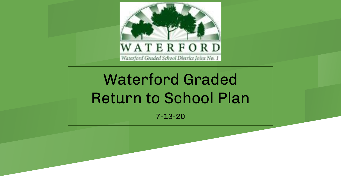

#### WATERFORD Waterford Graded School District Joint No. 1

# Waterford Graded Return to School Plan

7-13-20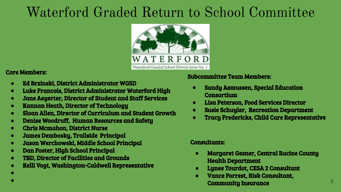# Waterford Graded Return to School Committee



#### Core Members:

- **●** Ed Brzinski, District Administrator WGSD
- **●** Luke Francois, District Administrator Waterford High
- **●** Jane Aegerter, Director of Student and Staff Services
- **●** Kannan Heath, Director of Technology
- **●** Sloan Allen, Director of Curriculum and Student Growth
- **●** Denise Woodruff, Human Resources and Safety
- **●** Chris Mcmahon, District Nurse
- **●** James Dembosky, Trailside Principal
- **●** Jason Werchowski, Middle School Principal
- **●** Dan Foster, High School Principal
- **●** TBD, Director of Facilities and Grounds
- **●** Kelli Vogt, Washington-Caldwell Representative

#### Subcommittee Team Members:

- **●** Sandy Asmussen, Special Education Consortium
- **●** Lisa Peterson, Food Services Director
- **●** Susie Schuyler, Recreation Department
- **●** Tracy Fredericks, Child Care Representative

#### Consultants:

- **●** Margaret Gesner, Central Racine County Health Department
- **●** Lynee Tourdot, CESA 2 Consultant
- **●** Vance Forrest, Risk Consultant, Community Insurance

**● ●**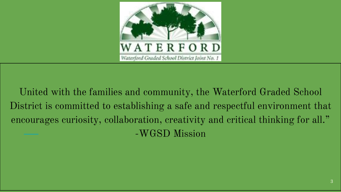

United with the families and community, the Waterford Graded School District is committed to establishing a safe and respectful environment that encourages curiosity, collaboration, creativity and critical thinking for all." -WGSD Mission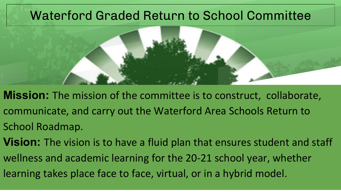### Waterford Graded Return to School Committee



- **Mission:** The mission of the committee is to construct, collaborate, communicate, and carry out the Waterford Area Schools Return to School Roadmap.
- learning takes place face to face, virtual, or in a hybrid model. **Vision:** The vision is to have a fluid plan that ensures student and staff wellness and academic learning for the 20-21 school year, whether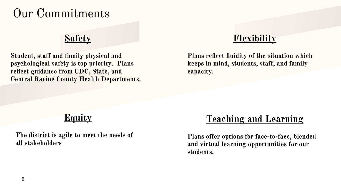## Our Commitments

#### **Safety**

**Student, staff and family physical and psychological safety is top priority. Plans reflect guidance from CDC, State, and Central Racine County Health Departments.** 

### **Flexibility**

**Plans reflect fluidity of the situation which keeps in mind, students, staff, and family capacity.** 

### **Equity**

**The district is agile to meet the needs of all stakeholders**

### **Teaching and Learning**

**Plans offer options for face-to-face, blended and virtual learning opportunities for our students.**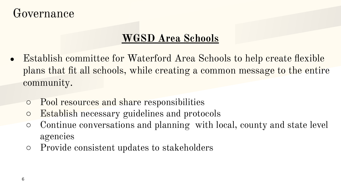## Governance

### **WGSD Area Schools**

- Establish committee for Waterford Area Schools to help create flexible plans that fit all schools, while creating a common message to the entire community.
	- Pool resources and share responsibilities
	- Establish necessary guidelines and protocols
	- Continue conversations and planning with local, county and state level agencies
	- Provide consistent updates to stakeholders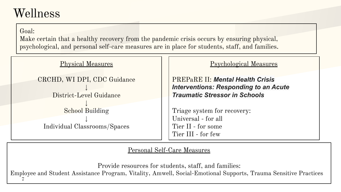### Wellness

Goal:

Make certain that a healthy recovery from the pandemic crisis occurs by ensuring physical, psychological, and personal self-care measures are in place for students, staff, and families.



Personal Self-Care Measures

7 Provide resources for students, staff, and families: Employee and Student Assistance Program, Vitality, Amwell, Social-Emotional Supports, Trauma Sensitive Practices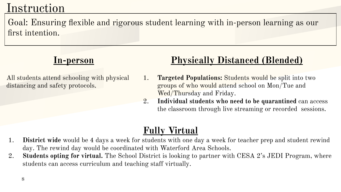## Instruction

Goal: Ensuring flexible and rigorous student learning with in-person learning as our first intention.

### **In-person**

All students attend schooling with physical distancing and safety protocols.

### **Physically Distanced (Blended)**

- 1. **Targeted Populations:** Students would be split into two groups of who would attend school on Mon/Tue and Wed/Thursday and Friday.
- 2. **Individual students who need to be quarantined** can access the classroom through live streaming or recorded sessions.

### **Fully Virtual**

- 1. **District wide** would be 4 days a week for students with one day a week for teacher prep and student rewind day. The rewind day would be coordinated with Waterford Area Schools.
- 2. **Students opting for virtual.** The School District is looking to partner with CESA 2's JEDI Program, where students can access curriculum and teaching staff virtually.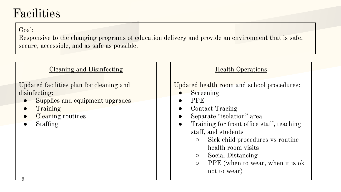## Facilities

Goal:

Responsive to the changing programs of education delivery and provide an environment that is safe, secure, accessible, and as safe as possible.

#### Cleaning and Disinfecting

Updated facilities plan for cleaning and disinfecting:

- Supplies and equipment upgrades
- **Training**
- Cleaning routines
- **Staffing**

9

#### Health Operations

#### Updated health room and school procedures:

- **Screening**
- PPE
- Contact Tracing
- Separate "isolation" area
- Training for front office staff, teaching staff, and students
	- Sick child procedures vs routine health room visits
	- Social Distancing
	- PPE (when to wear, when it is ok not to wear)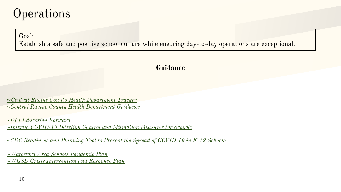## **Operations**

Goal:

Establish a safe and positive school culture while ensuring day-to-day operations are exceptional.

**Guidance**

*~[Central Racine County Health Department Tracker](https://crchd.com/sites/default/files/riskCats_7.09.2020_rc_crchd.png) ~[Central Racine County Health Department Guidance](https://drive.google.com/file/d/1wleQMnJNiQQREk7dS-ofAcVxlhKfpFaS/view)*

*~[DPI Education Forward](https://dpi.wi.gov/sites/default/files/imce/sspw/pdf/Education_Forward_web.pdf) ~[Interim COVID-19 Infection Control and Mitigation Measures for Schools](https://dpi.wi.gov/sites/default/files/imce/sspw/pdf/05_21_20_Interim_Guidance_for_School_Infection_Control_and_Mitigation_Measures_002.pdf)*

*~[CDC Readiness and Planning Tool to Prevent the Spread of COVID-19 in K-12 Schools](https://www.cdc.gov/coronavirus/2019-ncov/downloads/community/School-Admin-K12-readiness-and-planning-tool.pdf)*

*[~Waterford Area Schools Pandemic Plan](https://docs.google.com/document/d/1yQUi9g_vwDDHSQVRQPp9VBcb00GotD5bwHb_zZooGpk/edit?usp=sharing) [~WGSD Crisis Intervention and Response Plan](https://docs.google.com/document/d/1khDIadHeTlivNJI9bNOCPEWmZhO5nXMK8lPqzc_T6x4/edit?usp=sharing)*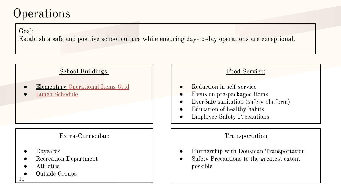## **Operations**

Goal:

Establish a safe and positive school culture while ensuring day-to-day operations are exceptional.

#### School Buildings:

- **Elementary [Operational Items Grid](https://docs.google.com/document/d/1CLbC0TB6kL_A5InYz5qV9bw58PbzecpiBEKAKdnRbnw/edit?usp=sharing)**
- **[Lunch Schedule](https://docs.google.com/document/d/1OdLpjXE9NfSHJssXHAA0pDF0iPFADjWzNGkZoanGBtI/edit?usp=sharing)**

#### Extra-Curricular:

- **Daycares**
- Recreation Department
- **Athletics**
- 11 Outside Groups
- Food Service: Reduction in self-service Focus on pre-packaged items ● EverSafe sanitation (safety platform) ● Education of healthy habits **Employee Safety Precautions** Transportation ● Partnership with Dousman Transportation
- Safety Precautions to the greatest extent possible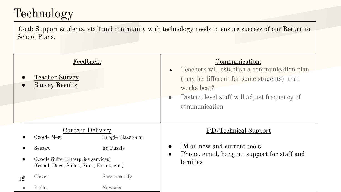## Technology

Goal: Support students, staff and community with technology needs to ensure success of our Return to School Plans.

|                | Feedback:<br><b>Teacher Survey</b><br><b>Survey Results</b>                     |               | Communication:<br>Teachers will establish a communication plan<br>$\bullet$<br>(may be different for some students) that<br>works best?<br>District level staff will adjust frequency of<br>$\bullet$<br>communication |  |
|----------------|---------------------------------------------------------------------------------|---------------|------------------------------------------------------------------------------------------------------------------------------------------------------------------------------------------------------------------------|--|
|                | <b>Content Delivery</b><br>Google Meet<br>Google Classroom                      |               | PD/Technical Support                                                                                                                                                                                                   |  |
|                |                                                                                 |               | Pd on new and current tools                                                                                                                                                                                            |  |
|                | Seesaw                                                                          | Ed Puzzle     |                                                                                                                                                                                                                        |  |
|                | Google Suite (Enterprise services)<br>(Gmail, Docs, Slides, Sites, Forms, etc.) |               | Phone, email, hangout support for staff and<br>$\bullet$<br>families                                                                                                                                                   |  |
| $12^{\degree}$ | Clever                                                                          | Screencastify |                                                                                                                                                                                                                        |  |